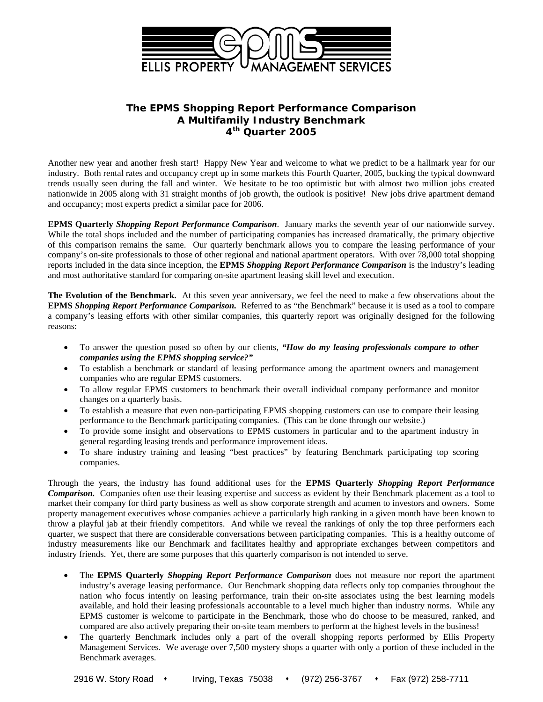

## **The EPMS** *Shopping Report Performance Comparison*  **A Multifamily Industry Benchmark 4th Quarter 2005**

Another new year and another fresh start! Happy New Year and welcome to what we predict to be a hallmark year for our industry. Both rental rates and occupancy crept up in some markets this Fourth Quarter, 2005, bucking the typical downward trends usually seen during the fall and winter. We hesitate to be too optimistic but with almost two million jobs created nationwide in 2005 along with 31 straight months of job growth, the outlook is positive! New jobs drive apartment demand and occupancy; most experts predict a similar pace for 2006.

**EPMS Quarterly** *Shopping Report Performance Comparison*. January marks the seventh year of our nationwide survey. While the total shops included and the number of participating companies has increased dramatically, the primary objective of this comparison remains the same. Our quarterly benchmark allows you to compare the leasing performance of your company's on-site professionals to those of other regional and national apartment operators. With over 78,000 total shopping reports included in the data since inception, the **EPMS** *Shopping Report Performance Comparison* is the industry's leading and most authoritative standard for comparing on-site apartment leasing skill level and execution.

**The Evolution of the Benchmark.** At this seven year anniversary, we feel the need to make a few observations about the **EPMS** *Shopping Report Performance Comparison.* Referred to as "the Benchmark" because it is used as a tool to compare a company's leasing efforts with other similar companies, this quarterly report was originally designed for the following reasons:

- To answer the question posed so often by our clients, *"How do my leasing professionals compare to other companies using the EPMS shopping service?"*
- To establish a benchmark or standard of leasing performance among the apartment owners and management companies who are regular EPMS customers.
- To allow regular EPMS customers to benchmark their overall individual company performance and monitor changes on a quarterly basis.
- To establish a measure that even non-participating EPMS shopping customers can use to compare their leasing performance to the Benchmark participating companies. (This can be done through our website.)
- To provide some insight and observations to EPMS customers in particular and to the apartment industry in general regarding leasing trends and performance improvement ideas.
- To share industry training and leasing "best practices" by featuring Benchmark participating top scoring companies.

Through the years, the industry has found additional uses for the **EPMS Quarterly** *Shopping Report Performance Comparison.* Companies often use their leasing expertise and success as evident by their Benchmark placement as a tool to market their company for third party business as well as show corporate strength and acumen to investors and owners. Some property management executives whose companies achieve a particularly high ranking in a given month have been known to throw a playful jab at their friendly competitors. And while we reveal the rankings of only the top three performers each quarter, we suspect that there are considerable conversations between participating companies. This is a healthy outcome of industry measurements like our Benchmark and facilitates healthy and appropriate exchanges between competitors and industry friends. Yet, there are some purposes that this quarterly comparison is not intended to serve.

- The **EPMS Quarterly** *Shopping Report Performance Comparison* does not measure nor report the apartment industry's average leasing performance. Our Benchmark shopping data reflects only top companies throughout the nation who focus intently on leasing performance, train their on-site associates using the best learning models available, and hold their leasing professionals accountable to a level much higher than industry norms. While any EPMS customer is welcome to participate in the Benchmark, those who do choose to be measured, ranked, and compared are also actively preparing their on-site team members to perform at the highest levels in the business!
- The quarterly Benchmark includes only a part of the overall shopping reports performed by Ellis Property Management Services. We average over 7,500 mystery shops a quarter with only a portion of these included in the Benchmark averages.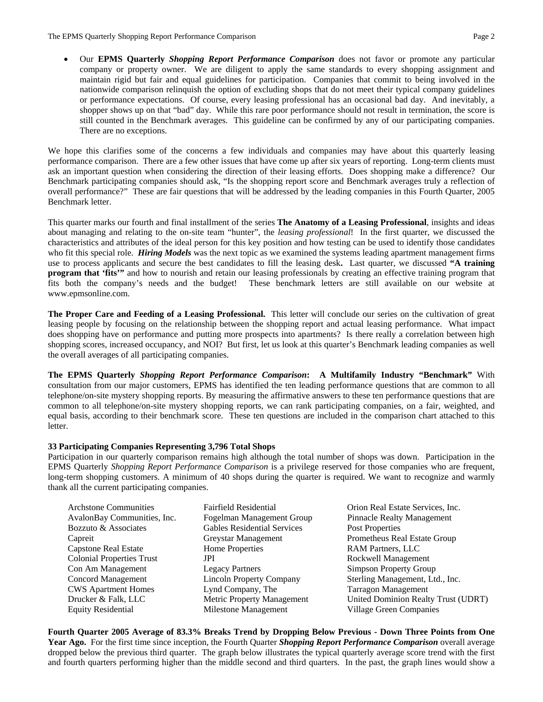• Our **EPMS Quarterly** *Shopping Report Performance Comparison* does not favor or promote any particular company or property owner. We are diligent to apply the same standards to every shopping assignment and maintain rigid but fair and equal guidelines for participation. Companies that commit to being involved in the nationwide comparison relinquish the option of excluding shops that do not meet their typical company guidelines or performance expectations. Of course, every leasing professional has an occasional bad day. And inevitably, a shopper shows up on that "bad" day. While this rare poor performance should not result in termination, the score is still counted in the Benchmark averages. This guideline can be confirmed by any of our participating companies. There are no exceptions.

We hope this clarifies some of the concerns a few individuals and companies may have about this quarterly leasing performance comparison. There are a few other issues that have come up after six years of reporting. Long-term clients must ask an important question when considering the direction of their leasing efforts. Does shopping make a difference? Our Benchmark participating companies should ask, "Is the shopping report score and Benchmark averages truly a reflection of overall performance?" These are fair questions that will be addressed by the leading companies in this Fourth Quarter, 2005 Benchmark letter.

This quarter marks our fourth and final installment of the series **The Anatomy of a Leasing Professional**, insights and ideas about managing and relating to the on-site team "hunter", the *leasing professional*! In the first quarter, we discussed the characteristics and attributes of the ideal person for this key position and how testing can be used to identify those candidates who fit this special role. *Hiring Models* was the next topic as we examined the systems leading apartment management firms use to process applicants and secure the best candidates to fill the leasing desk**.** Last quarter, we discussed **"A training program that 'fits'"** and how to nourish and retain our leasing professionals by creating an effective training program that fits both the company's needs and the budget! These benchmark letters are still available on our website at www.epmsonline.com.

**The Proper Care and Feeding of a Leasing Professional.** This letter will conclude our series on the cultivation of great leasing people by focusing on the relationship between the shopping report and actual leasing performance. What impact does shopping have on performance and putting more prospects into apartments? Is there really a correlation between high shopping scores, increased occupancy, and NOI? But first, let us look at this quarter's Benchmark leading companies as well the overall averages of all participating companies.

**The EPMS Quarterly** *Shopping Report Performance Comparison***: A Multifamily Industry "Benchmark"** With consultation from our major customers, EPMS has identified the ten leading performance questions that are common to all telephone/on-site mystery shopping reports. By measuring the affirmative answers to these ten performance questions that are common to all telephone/on-site mystery shopping reports, we can rank participating companies, on a fair, weighted, and equal basis, according to their benchmark score. These ten questions are included in the comparison chart attached to this letter.

## **33 Participating Companies Representing 3,796 Total Shops**

Participation in our quarterly comparison remains high although the total number of shops was down. Participation in the EPMS Quarterly *Shopping Report Performance Comparison* is a privilege reserved for those companies who are frequent, long-term shopping customers. A minimum of 40 shops during the quarter is required. We want to recognize and warmly thank all the current participating companies.

| <b>Archatone Communities</b>     | <b>Fairfield Residential</b>       | Orion Real Estate Services, Inc.    |
|----------------------------------|------------------------------------|-------------------------------------|
| AvalonBay Communities, Inc.      | Fogelman Management Group          | <b>Pinnacle Realty Management</b>   |
| Bozzuto & Associates             | <b>Gables Residential Services</b> | <b>Post Properties</b>              |
| Capreit                          | Greystar Management                | Prometheus Real Estate Group        |
| <b>Capstone Real Estate</b>      | Home Properties                    | <b>RAM Partners, LLC</b>            |
| <b>Colonial Properties Trust</b> | JPI                                | Rockwell Management                 |
| Con Am Management                | <b>Legacy Partners</b>             | Simpson Property Group              |
| <b>Concord Management</b>        | <b>Lincoln Property Company</b>    | Sterling Management, Ltd., Inc.     |
| <b>CWS</b> Apartment Homes       | Lynd Company, The                  | <b>Tarragon Management</b>          |
| Drucker & Falk, LLC              | Metric Property Management         | United Dominion Realty Trust (UDRT) |
| <b>Equity Residential</b>        | Milestone Management               | <b>Village Green Companies</b>      |

**Fourth Quarter 2005 Average of 83.3% Breaks Trend by Dropping Below Previous - Down Three Points from One Year Ago.** For the first time since inception, the Fourth Quarter *Shopping Report Performance Comparison* overall average dropped below the previous third quarter. The graph below illustrates the typical quarterly average score trend with the first and fourth quarters performing higher than the middle second and third quarters. In the past, the graph lines would show a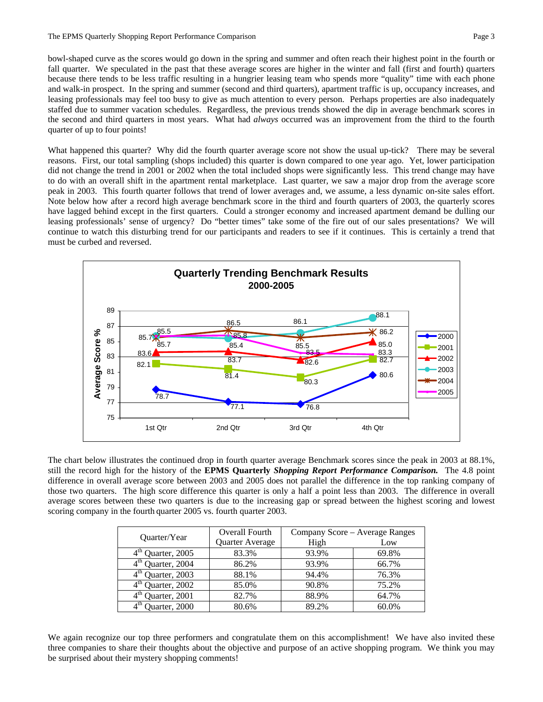bowl-shaped curve as the scores would go down in the spring and summer and often reach their highest point in the fourth or fall quarter. We speculated in the past that these average scores are higher in the winter and fall (first and fourth) quarters because there tends to be less traffic resulting in a hungrier leasing team who spends more "quality" time with each phone and walk-in prospect. In the spring and summer (second and third quarters), apartment traffic is up, occupancy increases, and leasing professionals may feel too busy to give as much attention to every person. Perhaps properties are also inadequately staffed due to summer vacation schedules. Regardless, the previous trends showed the dip in average benchmark scores in the second and third quarters in most years. What had *always* occurred was an improvement from the third to the fourth quarter of up to four points!

What happened this quarter? Why did the fourth quarter average score not show the usual up-tick? There may be several reasons. First, our total sampling (shops included) this quarter is down compared to one year ago. Yet, lower participation did not change the trend in 2001 or 2002 when the total included shops were significantly less. This trend change may have to do with an overall shift in the apartment rental marketplace. Last quarter, we saw a major drop from the average score peak in 2003. This fourth quarter follows that trend of lower averages and, we assume, a less dynamic on-site sales effort. Note below how after a record high average benchmark score in the third and fourth quarters of 2003, the quarterly scores have lagged behind except in the first quarters. Could a stronger economy and increased apartment demand be dulling our leasing professionals' sense of urgency? Do "better times" take some of the fire out of our sales presentations? We will continue to watch this disturbing trend for our participants and readers to see if it continues. This is certainly a trend that must be curbed and reversed.



The chart below illustrates the continued drop in fourth quarter average Benchmark scores since the peak in 2003 at 88.1%, still the record high for the history of the **EPMS Quarterly** *Shopping Report Performance Comparison.* The 4.8 point difference in overall average score between 2003 and 2005 does not parallel the difference in the top ranking company of those two quarters. The high score difference this quarter is only a half a point less than 2003. The difference in overall average scores between these two quarters is due to the increasing gap or spread between the highest scoring and lowest scoring company in the fourth quarter 2005 vs. fourth quarter 2003.

| Quarter/Year  | Overall Fourth  | Company Score - Average Ranges |       |  |
|---------------|-----------------|--------------------------------|-------|--|
|               | Quarter Average | High                           | Low   |  |
| Quarter, 2005 | 83.3%           | 93.9%                          | 69.8% |  |
| Quarter, 2004 | 86.2%           | 93.9%                          | 66.7% |  |
| Quarter, 2003 | 88.1%           | 94.4%                          | 76.3% |  |
| Quarter, 2002 | 85.0%           | 90.8%                          | 75.2% |  |
| Quarter, 2001 | 82.7%           | 88.9%                          | 64.7% |  |
| Quarter, 2000 | 80.6%           | 89.2%                          | 60.0% |  |

We again recognize our top three performers and congratulate them on this accomplishment! We have also invited these three companies to share their thoughts about the objective and purpose of an active shopping program. We think you may be surprised about their mystery shopping comments!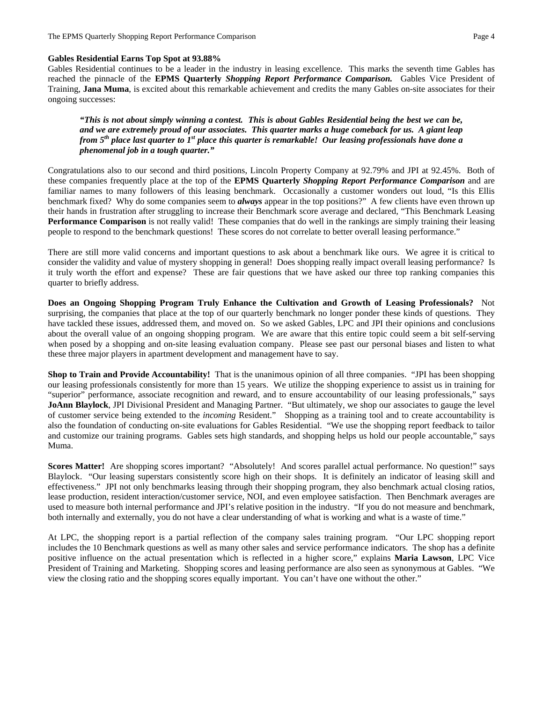## **Gables Residential Earns Top Spot at 93.88%**

Gables Residential continues to be a leader in the industry in leasing excellence. This marks the seventh time Gables has reached the pinnacle of the **EPMS Quarterly** *Shopping Report Performance Comparison.* Gables Vice President of Training, **Jana Muma**, is excited about this remarkable achievement and credits the many Gables on-site associates for their ongoing successes:

*"This is not about simply winning a contest. This is about Gables Residential being the best we can be, and we are extremely proud of our associates. This quarter marks a huge comeback for us. A giant leap from 5th place last quarter to 1st place this quarter is remarkable! Our leasing professionals have done a phenomenal job in a tough quarter."* 

Congratulations also to our second and third positions, Lincoln Property Company at 92.79% and JPI at 92.45%. Both of these companies frequently place at the top of the **EPMS Quarterly** *Shopping Report Performance Comparison* and are familiar names to many followers of this leasing benchmark. Occasionally a customer wonders out loud, "Is this Ellis benchmark fixed? Why do some companies seem to *always* appear in the top positions?" A few clients have even thrown up their hands in frustration after struggling to increase their Benchmark score average and declared, "This Benchmark Leasing **Performance Comparison** is not really valid! These companies that do well in the rankings are simply training their leasing people to respond to the benchmark questions! These scores do not correlate to better overall leasing performance."

There are still more valid concerns and important questions to ask about a benchmark like ours. We agree it is critical to consider the validity and value of mystery shopping in general! Does shopping really impact overall leasing performance? Is it truly worth the effort and expense? These are fair questions that we have asked our three top ranking companies this quarter to briefly address.

**Does an Ongoing Shopping Program Truly Enhance the Cultivation and Growth of Leasing Professionals?** Not surprising, the companies that place at the top of our quarterly benchmark no longer ponder these kinds of questions. They have tackled these issues, addressed them, and moved on. So we asked Gables, LPC and JPI their opinions and conclusions about the overall value of an ongoing shopping program. We are aware that this entire topic could seem a bit self-serving when posed by a shopping and on-site leasing evaluation company. Please see past our personal biases and listen to what these three major players in apartment development and management have to say.

**Shop to Train and Provide Accountability!** That is the unanimous opinion of all three companies. "JPI has been shopping our leasing professionals consistently for more than 15 years. We utilize the shopping experience to assist us in training for "superior" performance, associate recognition and reward, and to ensure accountability of our leasing professionals," says **JoAnn Blaylock**, JPI Divisional President and Managing Partner. "But ultimately, we shop our associates to gauge the level of customer service being extended to the *incoming* Resident." Shopping as a training tool and to create accountability is also the foundation of conducting on-site evaluations for Gables Residential. "We use the shopping report feedback to tailor and customize our training programs. Gables sets high standards, and shopping helps us hold our people accountable," says Muma.

**Scores Matter!** Are shopping scores important? "Absolutely! And scores parallel actual performance. No question!" says Blaylock. "Our leasing superstars consistently score high on their shops. It is definitely an indicator of leasing skill and effectiveness." JPI not only benchmarks leasing through their shopping program, they also benchmark actual closing ratios, lease production, resident interaction/customer service, NOI, and even employee satisfaction. Then Benchmark averages are used to measure both internal performance and JPI's relative position in the industry. "If you do not measure and benchmark, both internally and externally, you do not have a clear understanding of what is working and what is a waste of time."

At LPC, the shopping report is a partial reflection of the company sales training program. "Our LPC shopping report includes the 10 Benchmark questions as well as many other sales and service performance indicators. The shop has a definite positive influence on the actual presentation which is reflected in a higher score," explains **Maria Lawson**, LPC Vice President of Training and Marketing. Shopping scores and leasing performance are also seen as synonymous at Gables. "We view the closing ratio and the shopping scores equally important. You can't have one without the other."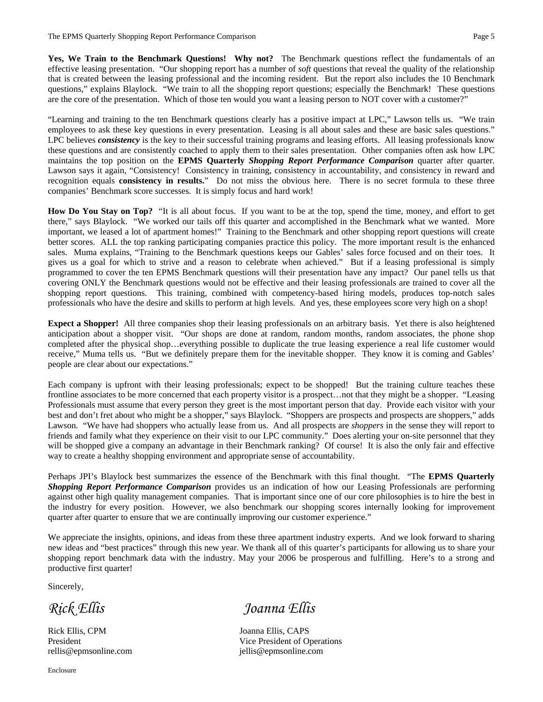**Yes, We Train to the Benchmark Questions! Why not?** The Benchmark questions reflect the fundamentals of an effective leasing presentation. "Our shopping report has a number of *soft* questions that reveal the quality of the relationship that is created between the leasing professional and the incoming resident. But the report also includes the 10 Benchmark questions," explains Blaylock. "We train to all the shopping report questions; especially the Benchmark! These questions are the core of the presentation. Which of those ten would you want a leasing person to NOT cover with a customer?"

"Learning and training to the ten Benchmark questions clearly has a positive impact at LPC," Lawson tells us. "We train employees to ask these key questions in every presentation. Leasing is all about sales and these are basic sales questions." LPC believes *consistency* is the key to their successful training programs and leasing efforts. All leasing professionals know these questions and are consistently coached to apply them to their sales presentation. Other companies often ask how LPC maintains the top position on the **EPMS Quarterly** *Shopping Report Performance Comparison* quarter after quarter. Lawson says it again, "Consistency! Consistency in training, consistency in accountability, and consistency in reward and recognition equals **consistency in results.**" Do not miss the obvious here. There is no secret formula to these three companies' Benchmark score successes. It is simply focus and hard work!

**How Do You Stay on Top?** "It is all about focus. If you want to be at the top, spend the time, money, and effort to get there," says Blaylock. "We worked our tails off this quarter and accomplished in the Benchmark what we wanted. More important, we leased a lot of apartment homes!" Training to the Benchmark and other shopping report questions will create better scores. ALL the top ranking participating companies practice this policy. The more important result is the enhanced sales. Muma explains, "Training to the Benchmark questions keeps our Gables' sales force focused and on their toes. It gives us a goal for which to strive and a reason to celebrate when achieved." But if a leasing professional is simply programmed to cover the ten EPMS Benchmark questions will their presentation have any impact? Our panel tells us that covering ONLY the Benchmark questions would not be effective and their leasing professionals are trained to cover all the shopping report questions. This training, combined with competency-based hiring models, produces top-notch sales professionals who have the desire and skills to perform at high levels. And yes, these employees score very high on a shop!

**Expect a Shopper!** All three companies shop their leasing professionals on an arbitrary basis. Yet there is also heightened anticipation about a shopper visit. "Our shops are done at random, random months, random associates, the phone shop completed after the physical shop…everything possible to duplicate the true leasing experience a real life customer would receive," Muma tells us. "But we definitely prepare them for the inevitable shopper. They know it is coming and Gables' people are clear about our expectations."

Each company is upfront with their leasing professionals; expect to be shopped! But the training culture teaches these frontline associates to be more concerned that each property visitor is a prospect...not that they might be a shopper. "Leasing Professionals must assume that every person they greet is the most important person that day. Provide each visitor with your best and don't fret about who might be a shopper," says Blaylock. "Shoppers are prospects and prospects are shoppers," adds Lawson. "We have had shoppers who actually lease from us. And all prospects are *shoppers* in the sense they will report to friends and family what they experience on their visit to our LPC community." Does alerting your on-site personnel that they will be shopped give a company an advantage in their Benchmark ranking? Of course! It is also the only fair and effective way to create a healthy shopping environment and appropriate sense of accountability.

Perhaps JPI's Blaylock best summarizes the essence of the Benchmark with this final thought. "The **EPMS Quarterly**  *Shopping Report Performance Comparison* provides us an indication of how our Leasing Professionals are performing against other high quality management companies. That is important since one of our core philosophies is to hire the best in the industry for every position. However, we also benchmark our shopping scores internally looking for improvement quarter after quarter to ensure that we are continually improving our customer experience."

We appreciate the insights, opinions, and ideas from these three apartment industry experts. And we look forward to sharing new ideas and "best practices" through this new year. We thank all of this quarter's participants for allowing us to share your shopping report benchmark data with the industry. May your 2006 be prosperous and fulfilling. Here's to a strong and productive first quarter!

Sincerely,

Rick Ellis, CPM Joanna Ellis, CAPS

*Rick Ellis Joanna Ellis* 

President Vice President of Operations rellis@epmsonline.com jellis@epmsonline.com